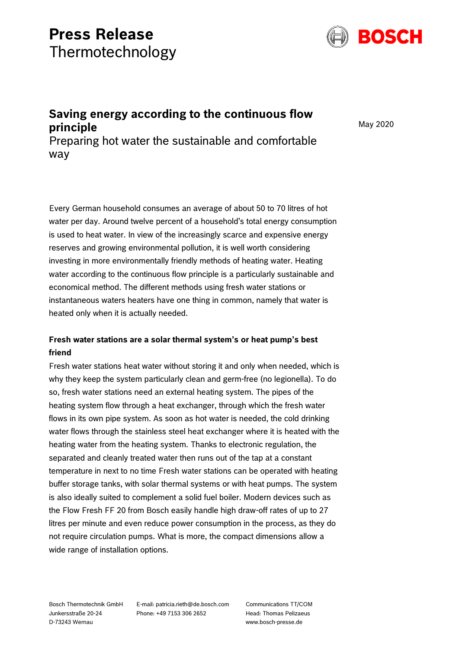# **Press Release** Thermotechnology



## **Saving energy according to the continuous flow principle**

May 2020

Preparing hot water the sustainable and comfortable way

Every German household consumes an average of about 50 to 70 litres of hot water per day. Around twelve percent of a household's total energy consumption is used to heat water. In view of the increasingly scarce and expensive energy reserves and growing environmental pollution, it is well worth considering investing in more environmentally friendly methods of heating water. Heating water according to the continuous flow principle is a particularly sustainable and economical method. The different methods using fresh water stations or instantaneous waters heaters have one thing in common, namely that water is heated only when it is actually needed.

### **Fresh water stations are a solar thermal system's or heat pump's best friend**

Fresh water stations heat water without storing it and only when needed, which is why they keep the system particularly clean and germ-free (no legionella). To do so, fresh water stations need an external heating system. The pipes of the heating system flow through a heat exchanger, through which the fresh water flows in its own pipe system. As soon as hot water is needed, the cold drinking water flows through the stainless steel heat exchanger where it is heated with the heating water from the heating system. Thanks to electronic regulation, the separated and cleanly treated water then runs out of the tap at a constant temperature in next to no time Fresh water stations can be operated with heating buffer storage tanks, with solar thermal systems or with heat pumps. The system is also ideally suited to complement a solid fuel boiler. Modern devices such as the Flow Fresh FF 20 from Bosch easily handle high draw-off rates of up to 27 litres per minute and even reduce power consumption in the process, as they do not require circulation pumps. What is more, the compact dimensions allow a wide range of installation options.

Bosch Thermotechnik GmbH Junkersstraße 20-24 D-73243 Wernau

E-mail: patricia.rieth@de.bosch.com Phone: +49 7153 306 2652

Communications TT/COM Head: Thomas Pelizaeus www.bosch-presse.de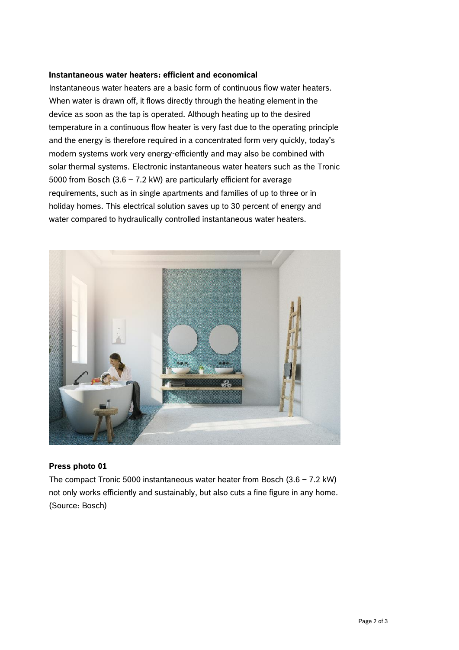#### **Instantaneous water heaters: efficient and economical**

Instantaneous water heaters are a basic form of continuous flow water heaters. When water is drawn off, it flows directly through the heating element in the device as soon as the tap is operated. Although heating up to the desired temperature in a continuous flow heater is very fast due to the operating principle and the energy is therefore required in a concentrated form very quickly, today's modern systems work very energy-efficiently and may also be combined with solar thermal systems. Electronic instantaneous water heaters such as the Tronic 5000 from Bosch (3.6 – 7.2 kW) are particularly efficient for average requirements, such as in single apartments and families of up to three or in holiday homes. This electrical solution saves up to 30 percent of energy and water compared to hydraulically controlled instantaneous water heaters.



#### **Press photo 01**

The compact Tronic 5000 instantaneous water heater from Bosch  $(3.6 - 7.2 \text{ kW})$ not only works efficiently and sustainably, but also cuts a fine figure in any home. (Source: Bosch)